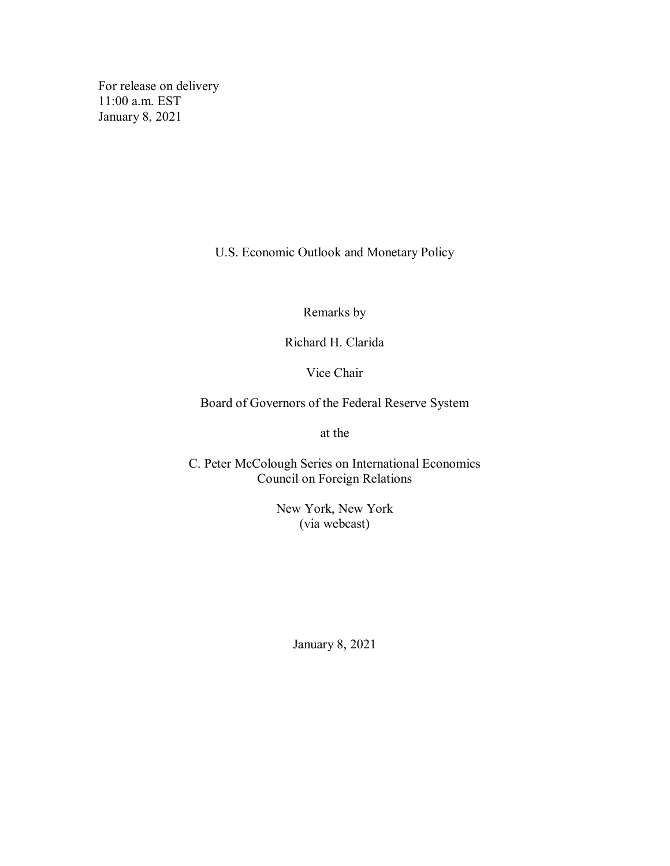For release on delivery 11:00 a.m. EST January 8, 2021

U.S. Economic Outlook and Monetary Policy

Remarks by

Richard H. Clarida

Vice Chair

Board of Governors of the Federal Reserve System

at the

C. Peter McColough Series on International Economics Council on Foreign Relations

> New York, New York (via webcast)

> > January 8, 2021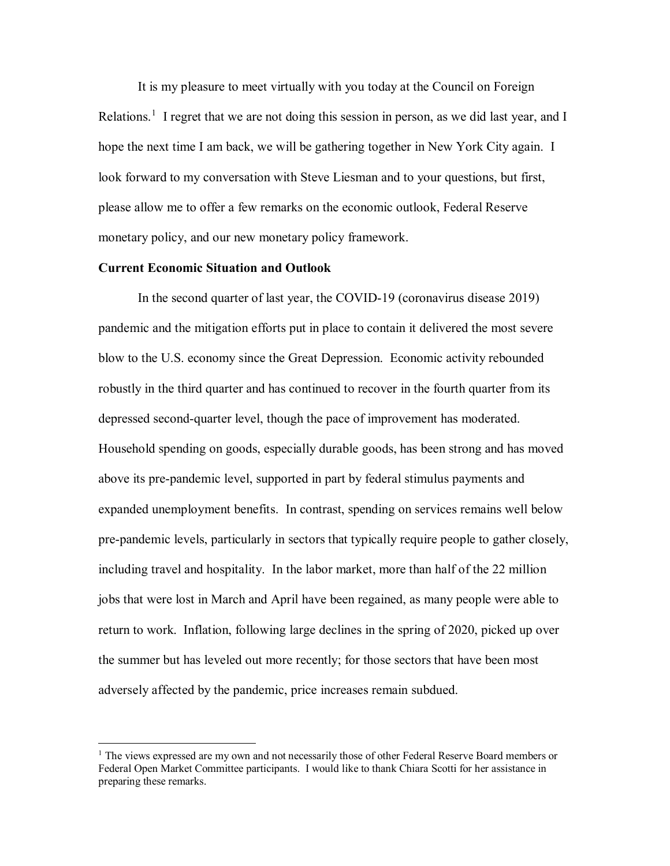It is my pleasure to meet virtually with you today at the Council on Foreign Relations.<sup>[1](#page-1-0)</sup> I regret that we are not doing this session in person, as we did last year, and I hope the next time I am back, we will be gathering together in New York City again. I look forward to my conversation with Steve Liesman and to your questions, but first, please allow me to offer a few remarks on the economic outlook, Federal Reserve monetary policy, and our new monetary policy framework.

## **Current Economic Situation and Outlook**

In the second quarter of last year, the COVID-19 (coronavirus disease 2019) pandemic and the mitigation efforts put in place to contain it delivered the most severe blow to the U.S. economy since the Great Depression. Economic activity rebounded robustly in the third quarter and has continued to recover in the fourth quarter from its depressed second-quarter level, though the pace of improvement has moderated. Household spending on goods, especially durable goods, has been strong and has moved above its pre-pandemic level, supported in part by federal stimulus payments and expanded unemployment benefits. In contrast, spending on services remains well below pre-pandemic levels, particularly in sectors that typically require people to gather closely, including travel and hospitality. In the labor market, more than half of the 22 million jobs that were lost in March and April have been regained, as many people were able to return to work. Inflation, following large declines in the spring of 2020, picked up over the summer but has leveled out more recently; for those sectors that have been most adversely affected by the pandemic, price increases remain subdued.

<span id="page-1-0"></span> $<sup>1</sup>$  The views expressed are my own and not necessarily those of other Federal Reserve Board members or</sup> Federal Open Market Committee participants. I would like to thank Chiara Scotti for her assistance in preparing these remarks.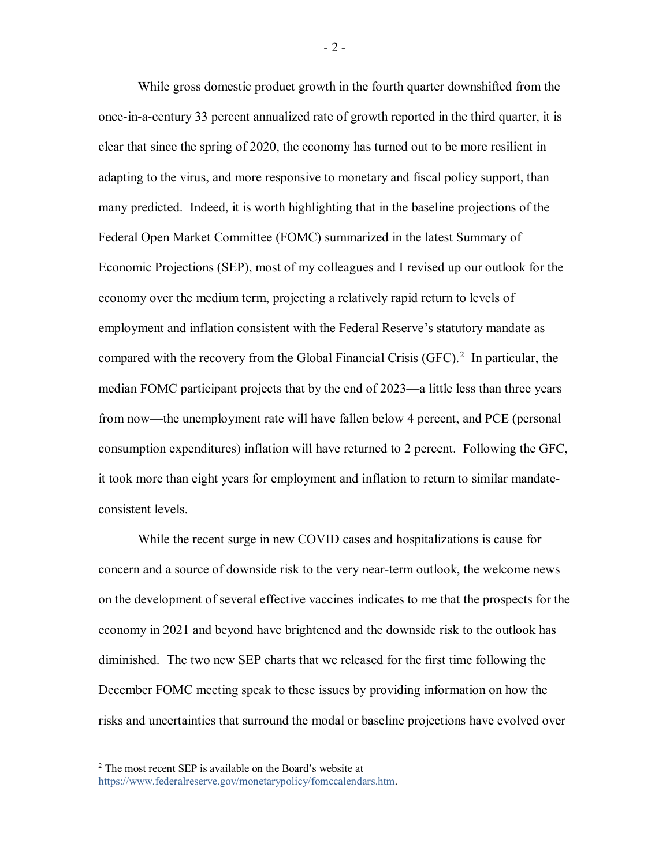While gross domestic product growth in the fourth quarter downshifted from the once-in-a-century 33 percent annualized rate of growth reported in the third quarter, it is clear that since the spring of 2020, the economy has turned out to be more resilient in adapting to the virus, and more responsive to monetary and fiscal policy support, than many predicted. Indeed, it is worth highlighting that in the baseline projections of the Federal Open Market Committee (FOMC) summarized in the latest Summary of Economic Projections (SEP), most of my colleagues and I revised up our outlook for the economy over the medium term, projecting a relatively rapid return to levels of employment and inflation consistent with the Federal Reserve's statutory mandate as compared with the recovery from the Global Financial Crisis (GFC).<sup>[2](#page-2-0)</sup> In particular, the median FOMC participant projects that by the end of 2023—a little less than three years from now—the unemployment rate will have fallen below 4 percent, and PCE (personal consumption expenditures) inflation will have returned to 2 percent. Following the GFC, it took more than eight years for employment and inflation to return to similar mandateconsistent levels.

While the recent surge in new COVID cases and hospitalizations is cause for concern and a source of downside risk to the very near-term outlook, the welcome news on the development of several effective vaccines indicates to me that the prospects for the economy in 2021 and beyond have brightened and the downside risk to the outlook has diminished. The two new SEP charts that we released for the first time following the December FOMC meeting speak to these issues by providing information on how the risks and uncertainties that surround the modal or baseline projections have evolved over

- 2 -

<span id="page-2-0"></span> $2$  The most recent SEP is available on the Board's website at [https://www.federalreserve.gov/monetarypolicy/fomccalendars.htm.](https://www.federalreserve.gov/monetarypolicy/fomccalendars.htm)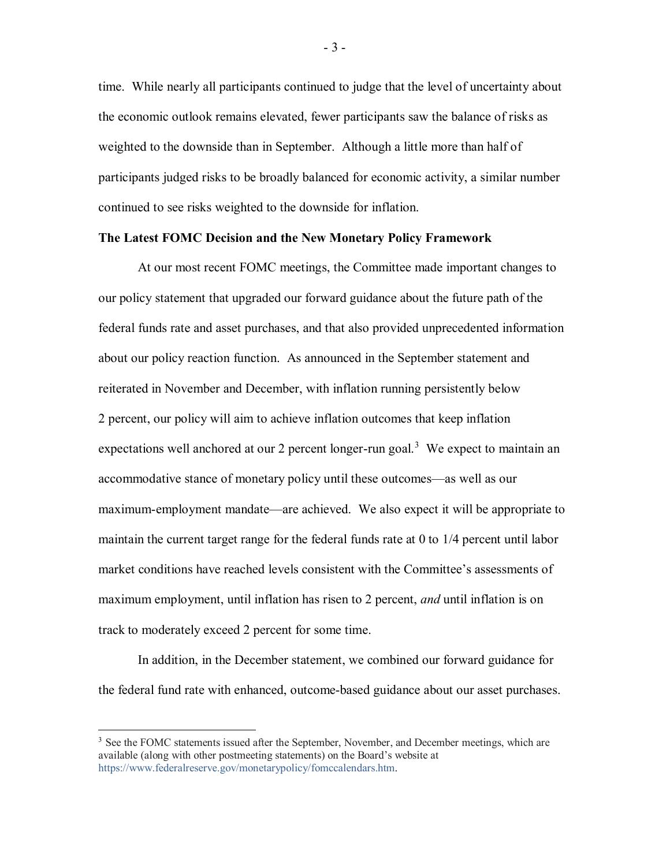time. While nearly all participants continued to judge that the level of uncertainty about the economic outlook remains elevated, fewer participants saw the balance of risks as weighted to the downside than in September. Although a little more than half of participants judged risks to be broadly balanced for economic activity, a similar number continued to see risks weighted to the downside for inflation.

## **The Latest FOMC Decision and the New Monetary Policy Framework**

At our most recent FOMC meetings, the Committee made important changes to our policy statement that upgraded our forward guidance about the future path of the federal funds rate and asset purchases, and that also provided unprecedented information about our policy reaction function. As announced in the September statement and reiterated in November and December, with inflation running persistently below 2 percent, our policy will aim to achieve inflation outcomes that keep inflation expectations well anchored at our 2 percent longer-run goal.<sup>[3](#page-3-0)</sup> We expect to maintain an accommodative stance of monetary policy until these outcomes—as well as our maximum-employment mandate—are achieved. We also expect it will be appropriate to maintain the current target range for the federal funds rate at 0 to 1/4 percent until labor market conditions have reached levels consistent with the Committee's assessments of maximum employment, until inflation has risen to 2 percent, *and* until inflation is on track to moderately exceed 2 percent for some time.

In addition, in the December statement, we combined our forward guidance for the federal fund rate with enhanced, outcome-based guidance about our asset purchases.

<span id="page-3-0"></span><sup>&</sup>lt;sup>3</sup> See the FOMC statements issued after the September, November, and December meetings, which are available (along with other postmeeting statements) on the Board's website at [https://www.federalreserve.gov/monetarypolicy/fomccalendars.htm.](https://www.federalreserve.gov/monetarypolicy/fomccalendars.htm)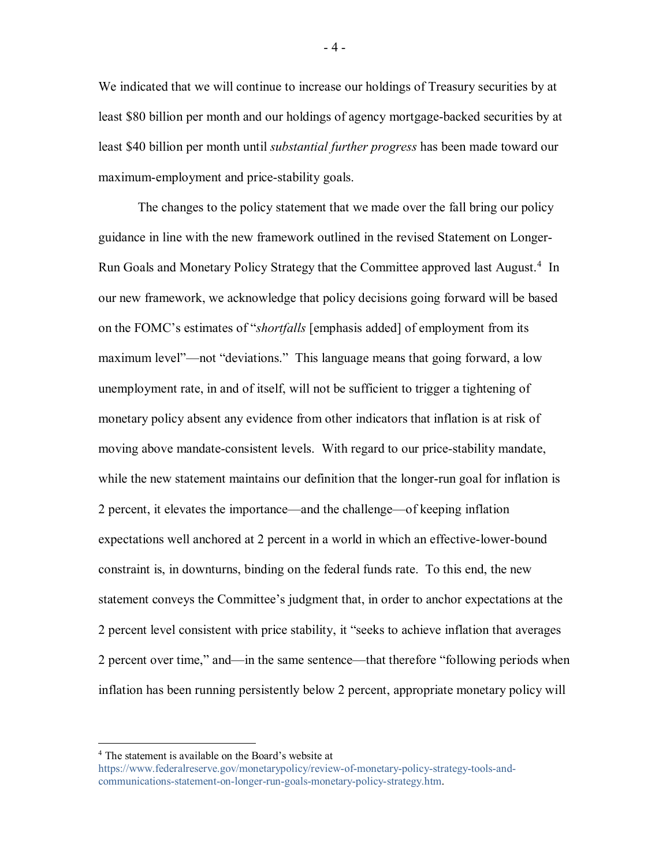We indicated that we will continue to increase our holdings of Treasury securities by at least \$80 billion per month and our holdings of agency mortgage-backed securities by at least \$40 billion per month until *substantial further progress* has been made toward our maximum-employment and price-stability goals.

The changes to the policy statement that we made over the fall bring our policy guidance in line with the new framework outlined in the revised Statement on Longer-Run Goals and Monetary Policy Strategy that the Committee approved last August.<sup>[4](#page-4-0)</sup> In our new framework, we acknowledge that policy decisions going forward will be based on the FOMC's estimates of "*shortfalls* [emphasis added] of employment from its maximum level"—not "deviations." This language means that going forward, a low unemployment rate, in and of itself, will not be sufficient to trigger a tightening of monetary policy absent any evidence from other indicators that inflation is at risk of moving above mandate-consistent levels. With regard to our price-stability mandate, while the new statement maintains our definition that the longer-run goal for inflation is 2 percent, it elevates the importance—and the challenge—of keeping inflation expectations well anchored at 2 percent in a world in which an effective-lower-bound constraint is, in downturns, binding on the federal funds rate. To this end, the new statement conveys the Committee's judgment that, in order to anchor expectations at the 2 percent level consistent with price stability, it "seeks to achieve inflation that averages 2 percent over time," and—in the same sentence—that therefore "following periods when inflation has been running persistently below 2 percent, appropriate monetary policy will

<span id="page-4-0"></span> <sup>4</sup> The statement is available on the Board's website at

[https://www.federalreserve.gov/monetarypolicy/review-of-monetary-policy-strategy-tools-and](https://www.federalreserve.gov/monetarypolicy/review-of-monetary-policy-strategy-tools-and-communications-statement-on-longer-run-goals-monetary-policy-strategy.htm)[communications-statement-on-longer-run-goals-monetary-policy-strategy.htm.](https://www.federalreserve.gov/monetarypolicy/review-of-monetary-policy-strategy-tools-and-communications-statement-on-longer-run-goals-monetary-policy-strategy.htm)